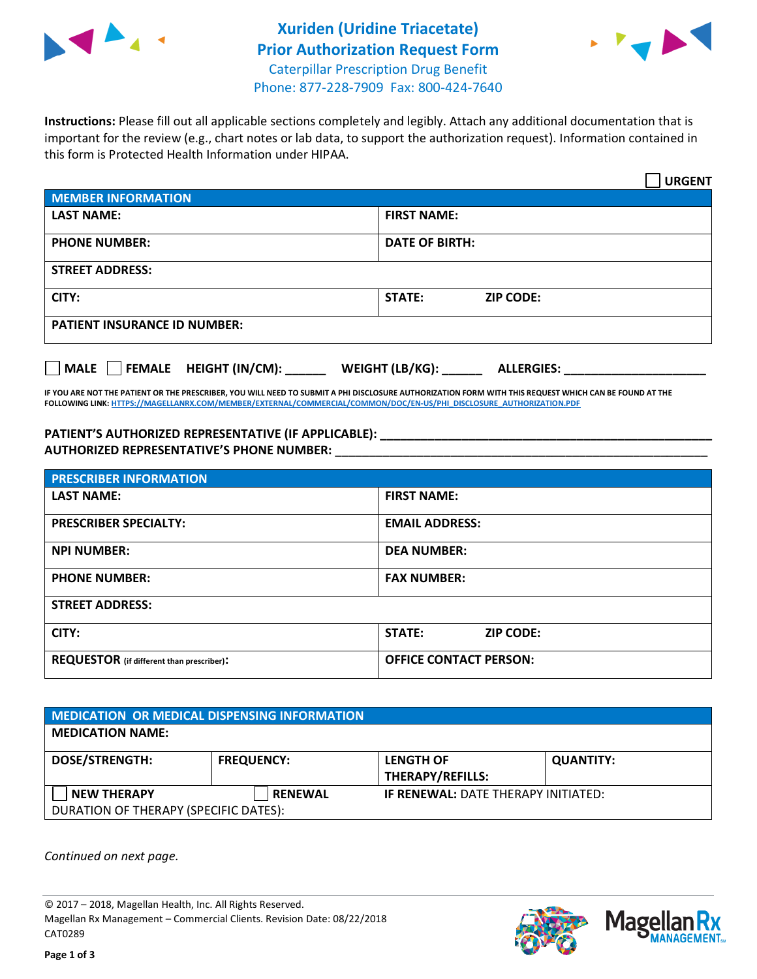



**Instructions:** Please fill out all applicable sections completely and legibly. Attach any additional documentation that is important for the review (e.g., chart notes or lab data, to support the authorization request). Information contained in this form is Protected Health Information under HIPAA.

|                                     | <b>URGENT</b>                        |
|-------------------------------------|--------------------------------------|
| <b>MEMBER INFORMATION</b>           |                                      |
| <b>LAST NAME:</b>                   | <b>FIRST NAME:</b>                   |
| <b>PHONE NUMBER:</b>                | <b>DATE OF BIRTH:</b>                |
| <b>STREET ADDRESS:</b>              |                                      |
| CITY:                               | STATE:<br><b>ZIP CODE:</b>           |
| <b>PATIENT INSURANCE ID NUMBER:</b> |                                      |
| FEMALE HEIGHT (IN/CM):<br>    MALE  | WEIGHT (LB/KG):<br><b>ALLERGIES:</b> |

**IF YOU ARE NOT THE PATIENT OR THE PRESCRIBER, YOU WILL NEED TO SUBMIT A PHI DISCLOSURE AUTHORIZATION FORM WITH THIS REQUEST WHICH CAN BE FOUND AT THE FOLLOWING LINK[: HTTPS://MAGELLANRX.COM/MEMBER/EXTERNAL/COMMERCIAL/COMMON/DOC/EN-US/PHI\\_DISCLOSURE\\_AUTHORIZATION.PDF](https://magellanrx.com/member/external/commercial/common/doc/en-us/PHI_Disclosure_Authorization.pdf)**

**PATIENT'S AUTHORIZED REPRESENTATIVE (IF APPLICABLE): \_\_\_\_\_\_\_\_\_\_\_\_\_\_\_\_\_\_\_\_\_\_\_\_\_\_\_\_\_\_\_\_\_\_\_\_\_\_\_\_\_\_\_\_\_\_\_\_\_ AUTHORIZED REPRESENTATIVE'S PHONE NUMBER:** \_\_\_\_\_\_\_\_\_\_\_\_\_\_\_\_\_\_\_\_\_\_\_\_\_\_\_\_\_\_\_\_\_\_\_\_\_\_\_\_\_\_\_\_\_\_\_\_\_\_\_\_\_\_\_

| <b>PRESCRIBER INFORMATION</b>             |                               |  |  |  |
|-------------------------------------------|-------------------------------|--|--|--|
| <b>LAST NAME:</b>                         | <b>FIRST NAME:</b>            |  |  |  |
| <b>PRESCRIBER SPECIALTY:</b>              | <b>EMAIL ADDRESS:</b>         |  |  |  |
| <b>NPI NUMBER:</b>                        | <b>DEA NUMBER:</b>            |  |  |  |
| <b>PHONE NUMBER:</b>                      | <b>FAX NUMBER:</b>            |  |  |  |
| <b>STREET ADDRESS:</b>                    |                               |  |  |  |
| CITY:                                     | STATE:<br><b>ZIP CODE:</b>    |  |  |  |
| REQUESTOR (if different than prescriber): | <b>OFFICE CONTACT PERSON:</b> |  |  |  |

| <b>MEDICATION OR MEDICAL DISPENSING INFORMATION</b> |                   |                                            |                  |  |  |
|-----------------------------------------------------|-------------------|--------------------------------------------|------------------|--|--|
| <b>MEDICATION NAME:</b>                             |                   |                                            |                  |  |  |
| <b>DOSE/STRENGTH:</b>                               | <b>FREQUENCY:</b> | <b>LENGTH OF</b>                           | <b>QUANTITY:</b> |  |  |
|                                                     |                   | <b>THERAPY/REFILLS:</b>                    |                  |  |  |
| <b>NEW THERAPY</b>                                  | <b>RENEWAL</b>    | <b>IF RENEWAL: DATE THERAPY INITIATED:</b> |                  |  |  |
| DURATION OF THERAPY (SPECIFIC DATES):               |                   |                                            |                  |  |  |

*Continued on next page.*

© 2017 – 2018, Magellan Health, Inc. All Rights Reserved. Magellan Rx Management – Commercial Clients. Revision Date: 08/22/2018 CAT0289



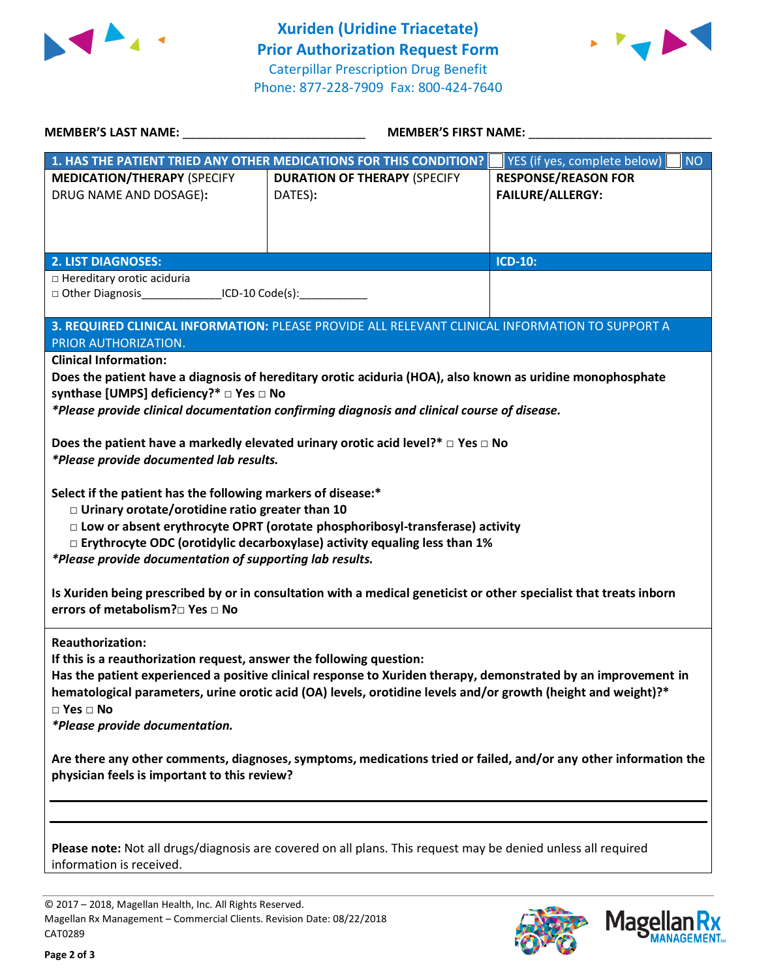



| MEMBER'S LAST NAME: NAME:                                                                                                                                                                                                                                                                                                                                                                          | <b>MEMBER'S FIRST NAME:</b>                                                                                                                                                                                   |                                                       |  |  |
|----------------------------------------------------------------------------------------------------------------------------------------------------------------------------------------------------------------------------------------------------------------------------------------------------------------------------------------------------------------------------------------------------|---------------------------------------------------------------------------------------------------------------------------------------------------------------------------------------------------------------|-------------------------------------------------------|--|--|
|                                                                                                                                                                                                                                                                                                                                                                                                    | 1. HAS THE PATIENT TRIED ANY OTHER MEDICATIONS FOR THIS CONDITION?                                                                                                                                            | YES (if yes, complete below)<br><b>NO</b>             |  |  |
| <b>MEDICATION/THERAPY (SPECIFY</b><br>DRUG NAME AND DOSAGE):                                                                                                                                                                                                                                                                                                                                       | <b>DURATION OF THERAPY (SPECIFY</b><br>DATES):                                                                                                                                                                | <b>RESPONSE/REASON FOR</b><br><b>FAILURE/ALLERGY:</b> |  |  |
|                                                                                                                                                                                                                                                                                                                                                                                                    |                                                                                                                                                                                                               | <b>ICD-10:</b>                                        |  |  |
| <b>2. LIST DIAGNOSES:</b><br>□ Hereditary orotic aciduria<br>□ Other Diagnosis__________________ICD-10 Code(s):______________                                                                                                                                                                                                                                                                      |                                                                                                                                                                                                               |                                                       |  |  |
| PRIOR AUTHORIZATION.<br><b>Clinical Information:</b>                                                                                                                                                                                                                                                                                                                                               | 3. REQUIRED CLINICAL INFORMATION: PLEASE PROVIDE ALL RELEVANT CLINICAL INFORMATION TO SUPPORT A<br>Does the patient have a diagnosis of hereditary orotic aciduria (HOA), also known as uridine monophosphate |                                                       |  |  |
| synthase [UMPS] deficiency?* □ Yes □ No<br>*Please provide clinical documentation confirming diagnosis and clinical course of disease.                                                                                                                                                                                                                                                             |                                                                                                                                                                                                               |                                                       |  |  |
| Does the patient have a markedly elevated urinary orotic acid level?* $\Box$ Yes $\Box$ No<br>*Please provide documented lab results.                                                                                                                                                                                                                                                              |                                                                                                                                                                                                               |                                                       |  |  |
| Select if the patient has the following markers of disease:*<br>□ Urinary orotate/orotidine ratio greater than 10<br>□ Low or absent erythrocyte OPRT (orotate phosphoribosyl-transferase) activity<br>$\square$ Erythrocyte ODC (orotidylic decarboxylase) activity equaling less than 1%<br>*Please provide documentation of supporting lab results.                                             |                                                                                                                                                                                                               |                                                       |  |  |
| Is Xuriden being prescribed by or in consultation with a medical geneticist or other specialist that treats inborn<br>errors of metabolism?□ Yes □ No                                                                                                                                                                                                                                              |                                                                                                                                                                                                               |                                                       |  |  |
| <b>Reauthorization:</b><br>If this is a reauthorization request, answer the following question:<br>Has the patient experienced a positive clinical response to Xuriden therapy, demonstrated by an improvement in<br>hematological parameters, urine orotic acid (OA) levels, orotidine levels and/or growth (height and weight)?*<br>$\square$ Yes $\square$ No<br>*Please provide documentation. |                                                                                                                                                                                                               |                                                       |  |  |
| Are there any other comments, diagnoses, symptoms, medications tried or failed, and/or any other information the<br>physician feels is important to this review?                                                                                                                                                                                                                                   |                                                                                                                                                                                                               |                                                       |  |  |
| Please note: Not all drugs/diagnosis are covered on all plans. This request may be denied unless all required<br>information is received.                                                                                                                                                                                                                                                          |                                                                                                                                                                                                               |                                                       |  |  |

© 2017 – 2018, Magellan Health, Inc. All Rights Reserved. Magellan Rx Management – Commercial Clients. Revision Date: 08/22/2018 CAT0289